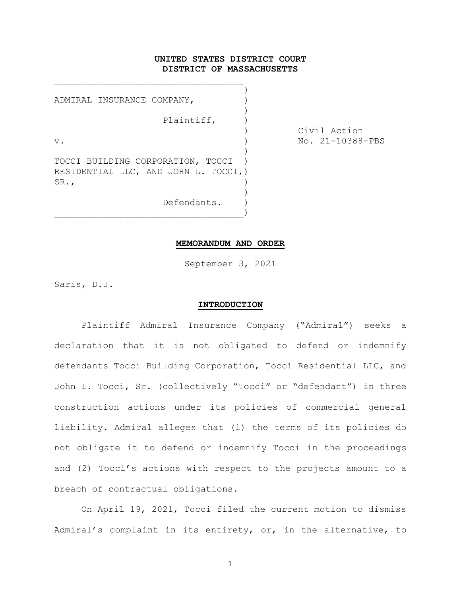# UNITED STATES DISTRICT COURT DISTRICT OF MASSACHUSETTS

) ADMIRAL INSURANCE COMPANY,  $)$ Plaintiff, ) v. ) No. 21-10388-PBS ) TOCCI BUILDING CORPORATION, TOCCI RESIDENTIAL LLC, AND JOHN L. TOCCI,)  $SR.$ ,  $)$  $)$ Defendants. )

 $\qquad \qquad \qquad \qquad \qquad \qquad \qquad \qquad \qquad \qquad$ 

\_\_\_\_\_\_\_\_\_\_\_\_\_\_\_\_\_\_\_\_\_\_\_\_\_\_\_\_\_\_\_\_\_\_\_

) Civil Action

#### MEMORANDUM AND ORDER

September 3, 2021

Saris, D.J.

#### INTRODUCTION

Plaintiff Admiral Insurance Company ("Admiral") seeks a declaration that it is not obligated to defend or indemnify defendants Tocci Building Corporation, Tocci Residential LLC, and John L. Tocci, Sr. (collectively "Tocci" or "defendant") in three construction actions under its policies of commercial general liability. Admiral alleges that (1) the terms of its policies do not obligate it to defend or indemnify Tocci in the proceedings and (2) Tocci's actions with respect to the projects amount to a breach of contractual obligations.

On April 19, 2021, Tocci filed the current motion to dismiss Admiral's complaint in its entirety, or, in the alternative, to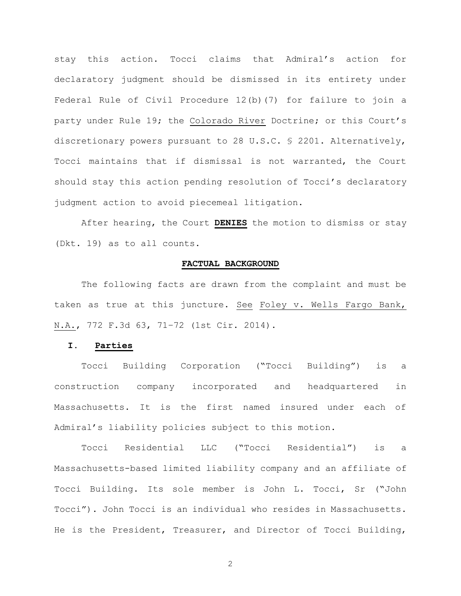stay this action. Tocci claims that Admiral's action for declaratory judgment should be dismissed in its entirety under Federal Rule of Civil Procedure 12(b)(7) for failure to join a party under Rule 19; the Colorado River Doctrine; or this Court's discretionary powers pursuant to 28 U.S.C. § 2201. Alternatively, Tocci maintains that if dismissal is not warranted, the Court should stay this action pending resolution of Tocci's declaratory judgment action to avoid piecemeal litigation.

After hearing, the Court **DENIES** the motion to dismiss or stay (Dkt. 19) as to all counts.

# FACTUAL BACKGROUND

The following facts are drawn from the complaint and must be taken as true at this juncture. See Foley v. Wells Fargo Bank, N.A., 772 F.3d 63, 71–72 (1st Cir. 2014).

## I. Parties

Tocci Building Corporation ("Tocci Building") is a construction company incorporated and headquartered in Massachusetts. It is the first named insured under each of Admiral's liability policies subject to this motion.

Tocci Residential LLC ("Tocci Residential") is a Massachusetts-based limited liability company and an affiliate of Tocci Building. Its sole member is John L. Tocci, Sr ("John Tocci"). John Tocci is an individual who resides in Massachusetts. He is the President, Treasurer, and Director of Tocci Building,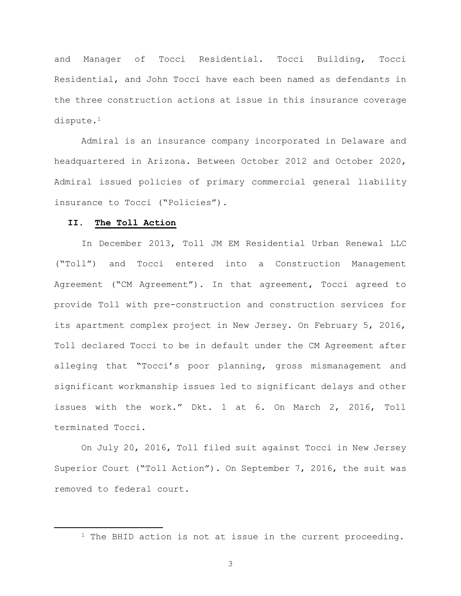and Manager of Tocci Residential. Tocci Building, Tocci Residential, and John Tocci have each been named as defendants in the three construction actions at issue in this insurance coverage dispute.<sup>1</sup>

Admiral is an insurance company incorporated in Delaware and headquartered in Arizona. Between October 2012 and October 2020, Admiral issued policies of primary commercial general liability insurance to Tocci ("Policies").

# II. The Toll Action

In December 2013, Toll JM EM Residential Urban Renewal LLC ("Toll") and Tocci entered into a Construction Management Agreement ("CM Agreement"). In that agreement, Tocci agreed to provide Toll with pre-construction and construction services for its apartment complex project in New Jersey. On February 5, 2016, Toll declared Tocci to be in default under the CM Agreement after alleging that "Tocci's poor planning, gross mismanagement and significant workmanship issues led to significant delays and other issues with the work." Dkt. 1 at 6. On March 2, 2016, Toll terminated Tocci.

On July 20, 2016, Toll filed suit against Tocci in New Jersey Superior Court ("Toll Action"). On September 7, 2016, the suit was removed to federal court.

<sup>&</sup>lt;sup>1</sup> The BHID action is not at issue in the current proceeding.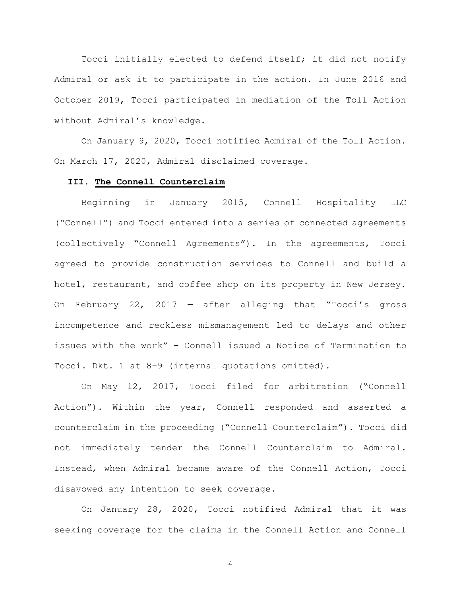Tocci initially elected to defend itself; it did not notify Admiral or ask it to participate in the action. In June 2016 and October 2019, Tocci participated in mediation of the Toll Action without Admiral's knowledge.

On January 9, 2020, Tocci notified Admiral of the Toll Action. On March 17, 2020, Admiral disclaimed coverage.

# III. The Connell Counterclaim

Beginning in January 2015, Connell Hospitality LLC ("Connell") and Tocci entered into a series of connected agreements (collectively "Connell Agreements"). In the agreements, Tocci agreed to provide construction services to Connell and build a hotel, restaurant, and coffee shop on its property in New Jersey. On February 22, 2017 — after alleging that "Tocci's gross incompetence and reckless mismanagement led to delays and other issues with the work" – Connell issued a Notice of Termination to Tocci. Dkt. 1 at 8–9 (internal quotations omitted).

On May 12, 2017, Tocci filed for arbitration ("Connell Action"). Within the year, Connell responded and asserted a counterclaim in the proceeding ("Connell Counterclaim"). Tocci did not immediately tender the Connell Counterclaim to Admiral. Instead, when Admiral became aware of the Connell Action, Tocci disavowed any intention to seek coverage.

On January 28, 2020, Tocci notified Admiral that it was seeking coverage for the claims in the Connell Action and Connell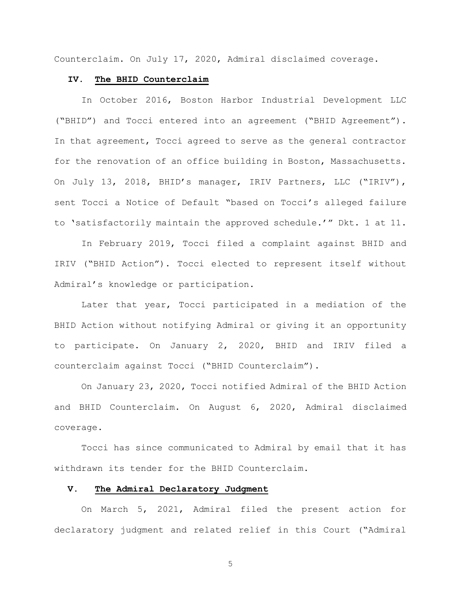Counterclaim. On July 17, 2020, Admiral disclaimed coverage.

#### IV. The BHID Counterclaim

In October 2016, Boston Harbor Industrial Development LLC ("BHID") and Tocci entered into an agreement ("BHID Agreement"). In that agreement, Tocci agreed to serve as the general contractor for the renovation of an office building in Boston, Massachusetts. On July 13, 2018, BHID's manager, IRIV Partners, LLC ("IRIV"), sent Tocci a Notice of Default "based on Tocci's alleged failure to 'satisfactorily maintain the approved schedule.'" Dkt. 1 at 11.

In February 2019, Tocci filed a complaint against BHID and IRIV ("BHID Action"). Tocci elected to represent itself without Admiral's knowledge or participation.

Later that year, Tocci participated in a mediation of the BHID Action without notifying Admiral or giving it an opportunity to participate. On January 2, 2020, BHID and IRIV filed a counterclaim against Tocci ("BHID Counterclaim").

On January 23, 2020, Tocci notified Admiral of the BHID Action and BHID Counterclaim. On August 6, 2020, Admiral disclaimed coverage.

Tocci has since communicated to Admiral by email that it has withdrawn its tender for the BHID Counterclaim.

## V. The Admiral Declaratory Judgment

On March 5, 2021, Admiral filed the present action for declaratory judgment and related relief in this Court ("Admiral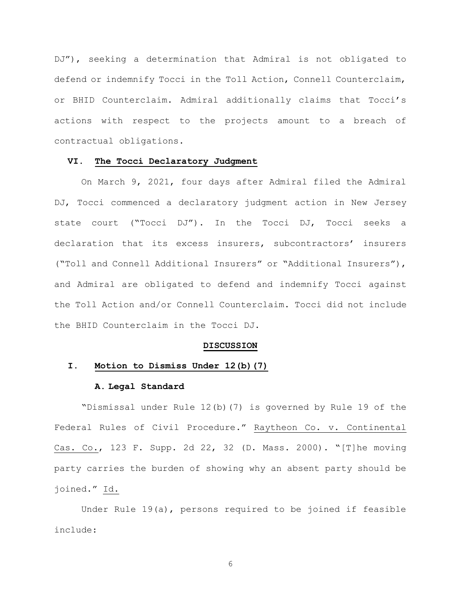DJ"), seeking a determination that Admiral is not obligated to defend or indemnify Tocci in the Toll Action, Connell Counterclaim, or BHID Counterclaim. Admiral additionally claims that Tocci's actions with respect to the projects amount to a breach of contractual obligations.

## VI. The Tocci Declaratory Judgment

On March 9, 2021, four days after Admiral filed the Admiral DJ, Tocci commenced a declaratory judgment action in New Jersey state court ("Tocci DJ"). In the Tocci DJ, Tocci seeks a declaration that its excess insurers, subcontractors' insurers ("Toll and Connell Additional Insurers" or "Additional Insurers"), and Admiral are obligated to defend and indemnify Tocci against the Toll Action and/or Connell Counterclaim. Tocci did not include the BHID Counterclaim in the Tocci DJ.

#### DISCUSSION

## I. Motion to Dismiss Under 12(b)(7)

#### A. Legal Standard

"Dismissal under Rule 12(b)(7) is governed by Rule 19 of the Federal Rules of Civil Procedure." Raytheon Co. v. Continental Cas. Co., 123 F. Supp. 2d 22, 32 (D. Mass. 2000). "[T]he moving party carries the burden of showing why an absent party should be joined." Id.

Under Rule 19(a), persons required to be joined if feasible include: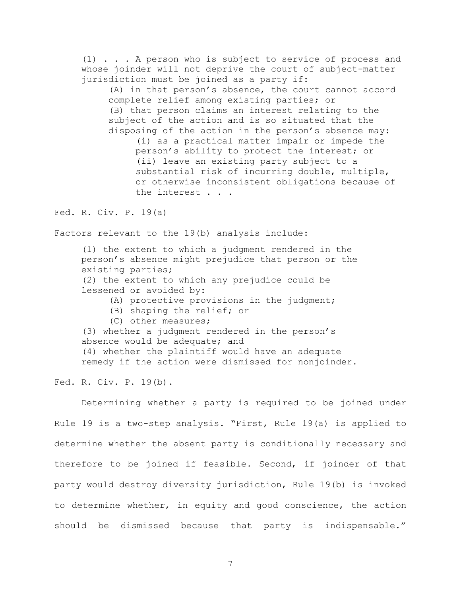(1) . . . A person who is subject to service of process and whose joinder will not deprive the court of subject-matter jurisdiction must be joined as a party if:

(A) in that person's absence, the court cannot accord complete relief among existing parties; or (B) that person claims an interest relating to the subject of the action and is so situated that the disposing of the action in the person's absence may:

(i) as a practical matter impair or impede the person's ability to protect the interest; or (ii) leave an existing party subject to a substantial risk of incurring double, multiple, or otherwise inconsistent obligations because of the interest . . .

Fed. R. Civ. P. 19(a)

Factors relevant to the 19(b) analysis include:

(1) the extent to which a judgment rendered in the person's absence might prejudice that person or the existing parties;

(2) the extent to which any prejudice could be lessened or avoided by:

- (A) protective provisions in the judgment;
- (B) shaping the relief; or
- (C) other measures;

(3) whether a judgment rendered in the person's absence would be adequate; and (4) whether the plaintiff would have an adequate remedy if the action were dismissed for nonjoinder.

Fed. R. Civ. P. 19(b).

Determining whether a party is required to be joined under Rule 19 is a two-step analysis. "First, Rule 19(a) is applied to determine whether the absent party is conditionally necessary and therefore to be joined if feasible. Second, if joinder of that party would destroy diversity jurisdiction, Rule 19(b) is invoked to determine whether, in equity and good conscience, the action should be dismissed because that party is indispensable."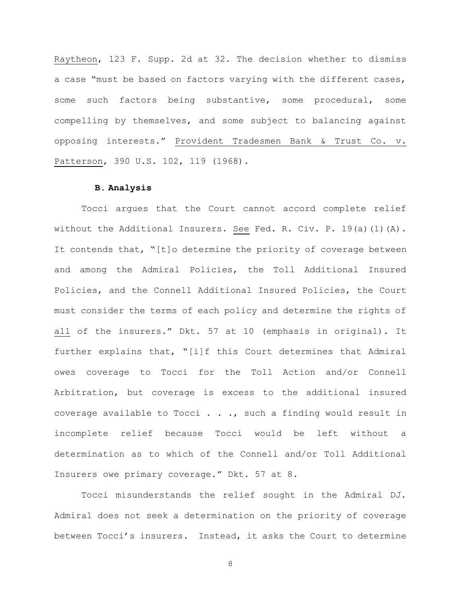Raytheon, 123 F. Supp. 2d at 32. The decision whether to dismiss a case "must be based on factors varying with the different cases, some such factors being substantive, some procedural, some compelling by themselves, and some subject to balancing against opposing interests." Provident Tradesmen Bank & Trust Co. v. Patterson, 390 U.S. 102, 119 (1968).

## B. Analysis

Tocci argues that the Court cannot accord complete relief without the Additional Insurers. See Fed. R. Civ. P. 19(a)(1)(A). It contends that, "[t]o determine the priority of coverage between and among the Admiral Policies, the Toll Additional Insured Policies, and the Connell Additional Insured Policies, the Court must consider the terms of each policy and determine the rights of all of the insurers." Dkt. 57 at 10 (emphasis in original). It further explains that, "[i]f this Court determines that Admiral owes coverage to Tocci for the Toll Action and/or Connell Arbitration, but coverage is excess to the additional insured coverage available to Tocci . . ., such a finding would result in incomplete relief because Tocci would be left without a determination as to which of the Connell and/or Toll Additional Insurers owe primary coverage." Dkt. 57 at 8.

Tocci misunderstands the relief sought in the Admiral DJ. Admiral does not seek a determination on the priority of coverage between Tocci's insurers. Instead, it asks the Court to determine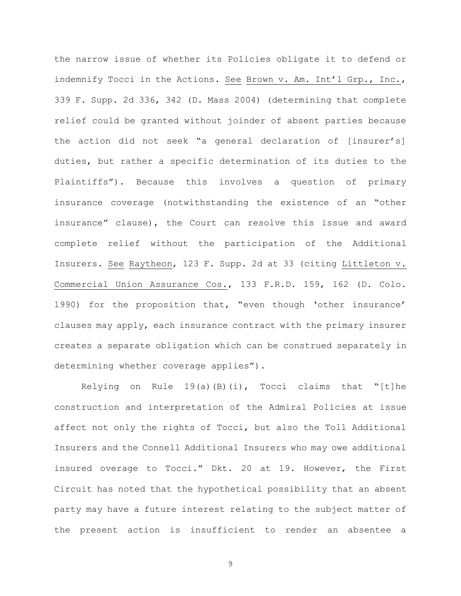the narrow issue of whether its Policies obligate it to defend or indemnify Tocci in the Actions. See Brown v. Am. Int'l Grp., Inc., 339 F. Supp. 2d 336, 342 (D. Mass 2004) (determining that complete relief could be granted without joinder of absent parties because the action did not seek "a general declaration of [insurer's] duties, but rather a specific determination of its duties to the Plaintiffs"). Because this involves a question of primary insurance coverage (notwithstanding the existence of an "other insurance" clause), the Court can resolve this issue and award complete relief without the participation of the Additional Insurers. See Raytheon, 123 F. Supp. 2d at 33 (citing Littleton v. Commercial Union Assurance Cos., 133 F.R.D. 159, 162 (D. Colo. 1990) for the proposition that, "even though 'other insurance' clauses may apply, each insurance contract with the primary insurer creates a separate obligation which can be construed separately in determining whether coverage applies").

Relying on Rule  $19(a)(B)(i)$ , Tocci claims that "[t]he construction and interpretation of the Admiral Policies at issue affect not only the rights of Tocci, but also the Toll Additional Insurers and the Connell Additional Insurers who may owe additional insured overage to Tocci." Dkt. 20 at 19. However, the First Circuit has noted that the hypothetical possibility that an absent party may have a future interest relating to the subject matter of the present action is insufficient to render an absentee a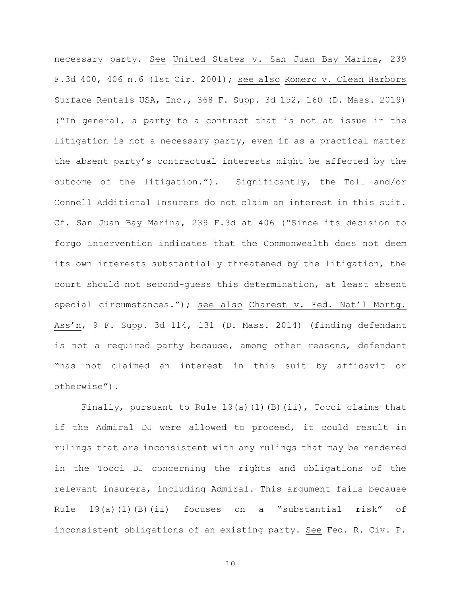necessary party. See United States v. San Juan Bay Marina, 239 F.3d 400, 406 n.6 (1st Cir. 2001); see also Romero v. Clean Harbors Surface Rentals USA, Inc., 368 F. Supp. 3d 152, 160 (D. Mass. 2019) ("In general, a party to a contract that is not at issue in the litigation is not a necessary party, even if as a practical matter the absent party's contractual interests might be affected by the outcome of the litigation."). Significantly, the Toll and/or Connell Additional Insurers do not claim an interest in this suit. Cf. San Juan Bay Marina, 239 F.3d at 406 ("Since its decision to forgo intervention indicates that the Commonwealth does not deem its own interests substantially threatened by the litigation, the court should not second-guess this determination, at least absent special circumstances."); see also Charest v. Fed. Nat'l Mortg. Ass'n, 9 F. Supp. 3d 114, 131 (D. Mass. 2014) (finding defendant is not a required party because, among other reasons, defendant "has not claimed an interest in this suit by affidavit or otherwise").

Finally, pursuant to Rule  $19(a)(1)(B)(ii)$ , Tocci claims that if the Admiral DJ were allowed to proceed, it could result in rulings that are inconsistent with any rulings that may be rendered in the Tocci DJ concerning the rights and obligations of the relevant insurers, including Admiral. This argument fails because Rule 19(a)(1)(B)(ii) focuses on a "substantial risk" of inconsistent obligations of an existing party. See Fed. R. Civ. P.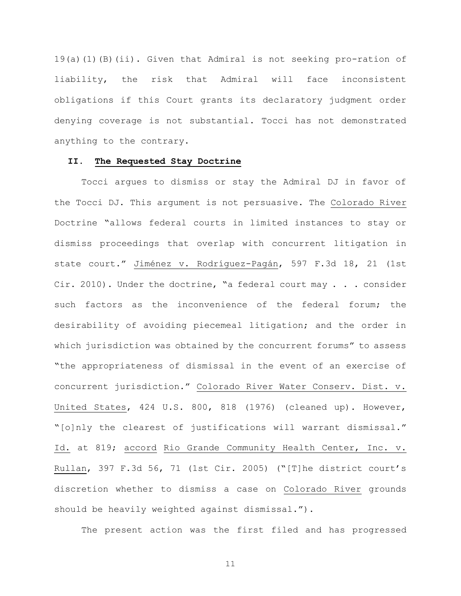19(a)(1)(B)(ii). Given that Admiral is not seeking pro-ration of liability, the risk that Admiral will face inconsistent obligations if this Court grants its declaratory judgment order denying coverage is not substantial. Tocci has not demonstrated anything to the contrary.

# II. The Requested Stay Doctrine

Tocci argues to dismiss or stay the Admiral DJ in favor of the Tocci DJ. This argument is not persuasive. The Colorado River Doctrine "allows federal courts in limited instances to stay or dismiss proceedings that overlap with concurrent litigation in state court." Jiménez v. Rodríguez-Pagán, 597 F.3d 18, 21 (1st Cir. 2010). Under the doctrine, "a federal court may . . . consider such factors as the inconvenience of the federal forum; the desirability of avoiding piecemeal litigation; and the order in which jurisdiction was obtained by the concurrent forums" to assess "the appropriateness of dismissal in the event of an exercise of concurrent jurisdiction." Colorado River Water Conserv. Dist. v. United States, 424 U.S. 800, 818 (1976) (cleaned up). However, "[o]nly the clearest of justifications will warrant dismissal." Id. at 819; accord Rio Grande Community Health Center, Inc. v. Rullan, 397 F.3d 56, 71 (1st Cir. 2005) ("[T]he district court's discretion whether to dismiss a case on Colorado River grounds should be heavily weighted against dismissal.").

The present action was the first filed and has progressed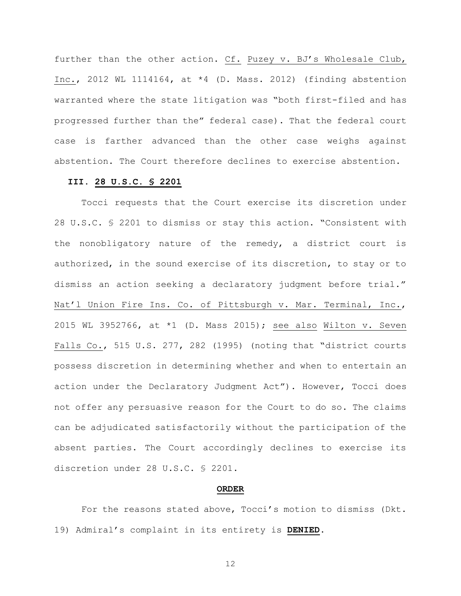further than the other action. Cf. Puzey v. BJ's Wholesale Club, Inc., 2012 WL 1114164, at \*4 (D. Mass. 2012) (finding abstention warranted where the state litigation was "both first-filed and has progressed further than the" federal case). That the federal court case is farther advanced than the other case weighs against abstention. The Court therefore declines to exercise abstention.

# III. 28 U.S.C. § 2201

Tocci requests that the Court exercise its discretion under 28 U.S.C. § 2201 to dismiss or stay this action. "Consistent with the nonobligatory nature of the remedy, a district court is authorized, in the sound exercise of its discretion, to stay or to dismiss an action seeking a declaratory judgment before trial." Nat'l Union Fire Ins. Co. of Pittsburgh v. Mar. Terminal, Inc., 2015 WL 3952766, at \*1 (D. Mass 2015); see also Wilton v. Seven Falls Co., 515 U.S. 277, 282 (1995) (noting that "district courts possess discretion in determining whether and when to entertain an action under the Declaratory Judgment Act"). However, Tocci does not offer any persuasive reason for the Court to do so. The claims can be adjudicated satisfactorily without the participation of the absent parties. The Court accordingly declines to exercise its discretion under 28 U.S.C. § 2201.

#### ORDER

For the reasons stated above, Tocci's motion to dismiss (Dkt. 19) Admiral's complaint in its entirety is DENIED.